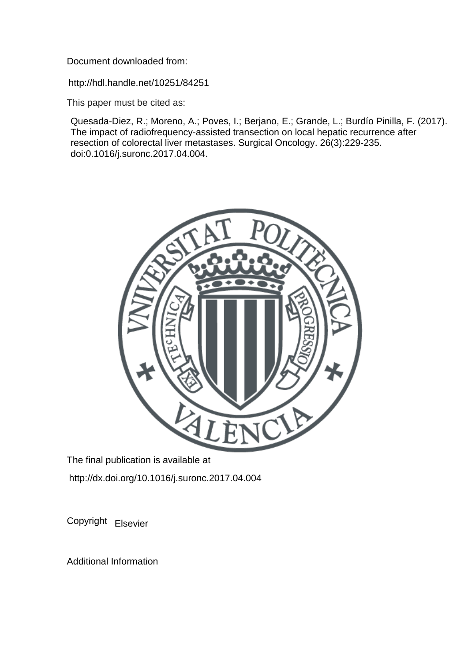Document downloaded from:

http://hdl.handle.net/10251/84251

This paper must be cited as:

Quesada-Diez, R.; Moreno, A.; Poves, I.; Berjano, E.; Grande, L.; Burdío Pinilla, F. (2017). The impact of radiofrequency-assisted transection on local hepatic recurrence after resection of colorectal liver metastases. Surgical Oncology. 26(3):229-235. doi:0.1016/j.suronc.2017.04.004.



The final publication is available at http://dx.doi.org/10.1016/j.suronc.2017.04.004

Copyright Elsevier

Additional Information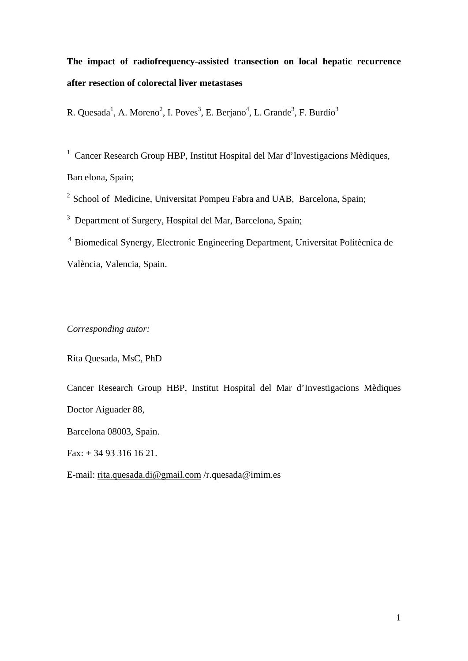# **The impact of radiofrequency-assisted transection on local hepatic recurrence after resection of colorectal liver metastases**

R. Quesada<sup>1</sup>, A. Moreno<sup>2</sup>, I. Poves<sup>3</sup>, E. Berjano<sup>4</sup>, L. Grande<sup>3</sup>, F. Burdío<sup>3</sup>

<sup>1</sup> Cancer Research Group HBP, Institut Hospital del Mar d'Investigacions Mèdiques, Barcelona, Spain;

<sup>2</sup> School of Medicine, Universitat Pompeu Fabra and UAB, Barcelona, Spain;

<sup>3</sup> Department of Surgery, Hospital del Mar, Barcelona, Spain;

4 Biomedical Synergy, Electronic Engineering Department, Universitat Politècnica de València, Valencia, Spain.

*Corresponding autor:*

Rita Quesada, MsC, PhD

Cancer Research Group HBP, Institut Hospital del Mar d'Investigacions Mèdiques Doctor Aiguader 88,

Barcelona 08003, Spain.

Fax: + 34 93 316 16 21.

E-mail: [rita.quesada.di@gmail.com](mailto:rita.quesada.di@gmail.com) /r.quesada@imim.es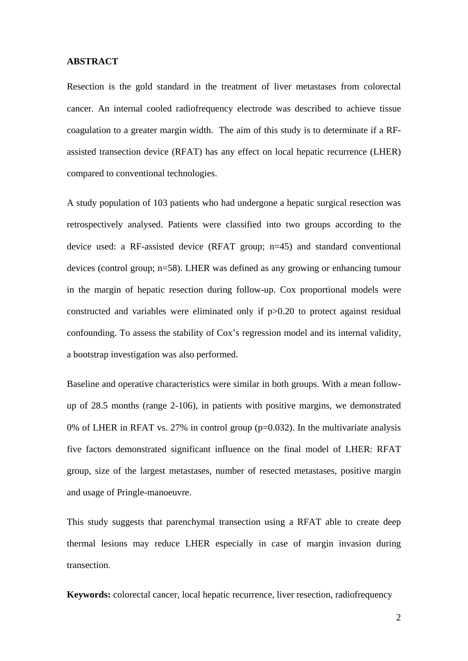#### **ABSTRACT**

Resection is the gold standard in the treatment of liver metastases from colorectal cancer. An internal cooled radiofrequency electrode was described to achieve tissue coagulation to a greater margin width. The aim of this study is to determinate if a RFassisted transection device (RFAT) has any effect on local hepatic recurrence (LHER) compared to conventional technologies.

A study population of 103 patients who had undergone a hepatic surgical resection was retrospectively analysed. Patients were classified into two groups according to the device used: a RF-assisted device (RFAT group; n=45) and standard conventional devices (control group; n=58). LHER was defined as any growing or enhancing tumour in the margin of hepatic resection during follow-up. Cox proportional models were constructed and variables were eliminated only if p>0.20 to protect against residual confounding. To assess the stability of Cox's regression model and its internal validity, a bootstrap investigation was also performed.

Baseline and operative characteristics were similar in both groups. With a mean followup of 28.5 months (range 2-106), in patients with positive margins, we demonstrated 0% of LHER in RFAT vs. 27% in control group  $(p=0.032)$ . In the multivariate analysis five factors demonstrated significant influence on the final model of LHER: RFAT group, size of the largest metastases, number of resected metastases, positive margin and usage of Pringle-manoeuvre.

This study suggests that parenchymal transection using a RFAT able to create deep thermal lesions may reduce LHER especially in case of margin invasion during transection.

**Keywords:** colorectal cancer, local hepatic recurrence, liver resection, radiofrequency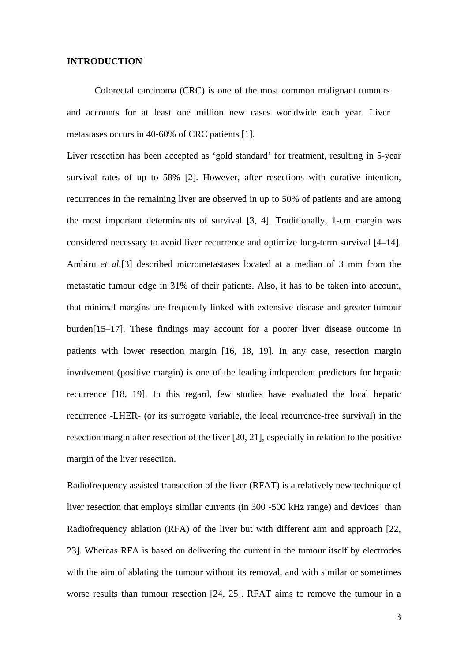#### **INTRODUCTION**

Colorectal carcinoma (CRC) is one of the most common malignant tumours and accounts for at least one million new cases worldwide each year. Liver metastases occurs in 40-60% of CRC patients [1].

Liver resection has been accepted as 'gold standard' for treatment, resulting in 5-year survival rates of up to 58% [2]. However, after resections with curative intention, recurrences in the remaining liver are observed in up to 50% of patients and are among the most important determinants of survival [3, 4]. Traditionally, 1-cm margin was considered necessary to avoid liver recurrence and optimize long-term survival [4–14]. Ambiru *et al.*[3] described micrometastases located at a median of 3 mm from the metastatic tumour edge in 31% of their patients. Also, it has to be taken into account, that minimal margins are frequently linked with extensive disease and greater tumour burden[15–17]. These findings may account for a poorer liver disease outcome in patients with lower resection margin [16, 18, 19]. In any case, resection margin involvement (positive margin) is one of the leading independent predictors for hepatic recurrence [18, 19]. In this regard, few studies have evaluated the local hepatic recurrence -LHER- (or its surrogate variable, the local recurrence-free survival) in the resection margin after resection of the liver [20, 21], especially in relation to the positive margin of the liver resection.

Radiofrequency assisted transection of the liver (RFAT) is a relatively new technique of liver resection that employs similar currents (in 300 -500 kHz range) and devices than Radiofrequency ablation (RFA) of the liver but with different aim and approach [22, 23]. Whereas RFA is based on delivering the current in the tumour itself by electrodes with the aim of ablating the tumour without its removal, and with similar or sometimes worse results than tumour resection [24, 25]. RFAT aims to remove the tumour in a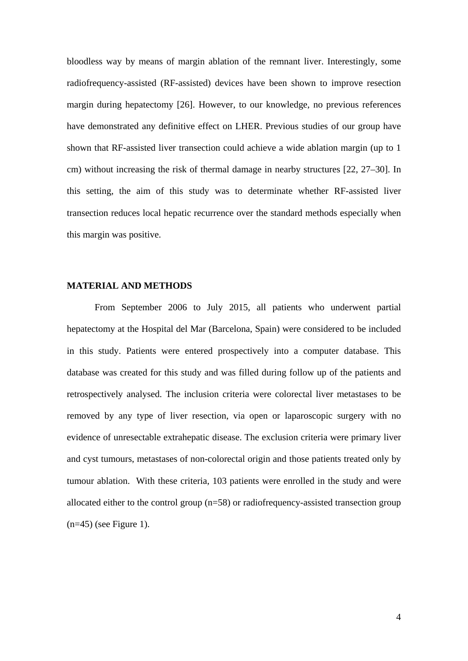bloodless way by means of margin ablation of the remnant liver. Interestingly, some radiofrequency-assisted (RF-assisted) devices have been shown to improve resection margin during hepatectomy [26]. However, to our knowledge, no previous references have demonstrated any definitive effect on LHER. Previous studies of our group have shown that RF-assisted liver transection could achieve a wide ablation margin (up to 1 cm) without increasing the risk of thermal damage in nearby structures [22, 27–30]. In this setting, the aim of this study was to determinate whether RF-assisted liver transection reduces local hepatic recurrence over the standard methods especially when this margin was positive.

#### **MATERIAL AND METHODS**

From September 2006 to July 2015, all patients who underwent partial hepatectomy at the Hospital del Mar (Barcelona, Spain) were considered to be included in this study. Patients were entered prospectively into a computer database. This database was created for this study and was filled during follow up of the patients and retrospectively analysed. The inclusion criteria were colorectal liver metastases to be removed by any type of liver resection, via open or laparoscopic surgery with no evidence of unresectable extrahepatic disease. The exclusion criteria were primary liver and cyst tumours, metastases of non-colorectal origin and those patients treated only by tumour ablation. With these criteria, 103 patients were enrolled in the study and were allocated either to the control group  $(n=58)$  or radiofrequency-assisted transection group  $(n=45)$  (see Figure 1).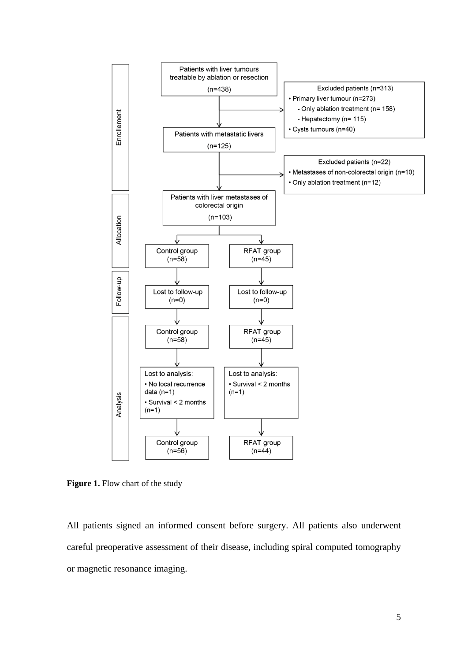

**Figure 1.** Flow chart of the study

All patients signed an informed consent before surgery. All patients also underwent careful preoperative assessment of their disease, including spiral computed tomography or magnetic resonance imaging.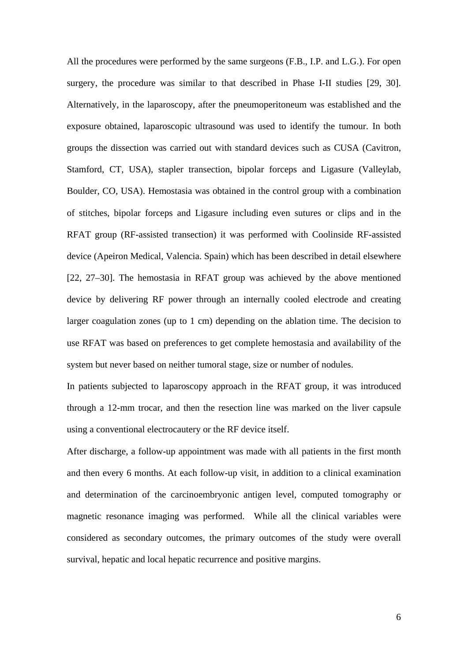All the procedures were performed by the same surgeons (F.B., I.P. and L.G.). For open surgery, the procedure was similar to that described in Phase I-II studies [29, 30]. Alternatively, in the laparoscopy, after the pneumoperitoneum was established and the exposure obtained, laparoscopic ultrasound was used to identify the tumour. In both groups the dissection was carried out with standard devices such as CUSA (Cavitron, Stamford, CT, USA), stapler transection, bipolar forceps and Ligasure (Valleylab, Boulder, CO, USA). Hemostasia was obtained in the control group with a combination of stitches, bipolar forceps and Ligasure including even sutures or clips and in the RFAT group (RF-assisted transection) it was performed with Coolinside RF-assisted device (Apeiron Medical, Valencia. Spain) which has been described in detail elsewhere [22, 27–30]. The hemostasia in RFAT group was achieved by the above mentioned device by delivering RF power through an internally cooled electrode and creating larger coagulation zones (up to 1 cm) depending on the ablation time. The decision to use RFAT was based on preferences to get complete hemostasia and availability of the system but never based on neither tumoral stage, size or number of nodules.

In patients subjected to laparoscopy approach in the RFAT group, it was introduced through a 12-mm trocar, and then the resection line was marked on the liver capsule using a conventional electrocautery or the RF device itself.

After discharge, a follow-up appointment was made with all patients in the first month and then every 6 months. At each follow-up visit, in addition to a clinical examination and determination of the carcinoembryonic antigen level, computed tomography or magnetic resonance imaging was performed. While all the clinical variables were considered as secondary outcomes, the primary outcomes of the study were overall survival, hepatic and local hepatic recurrence and positive margins.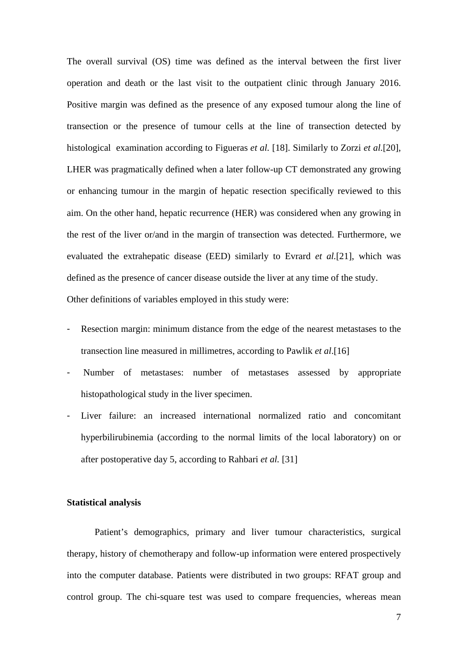The overall survival (OS) time was defined as the interval between the first liver operation and death or the last visit to the outpatient clinic through January 2016. Positive margin was defined as the presence of any exposed tumour along the line of transection or the presence of tumour cells at the line of transection detected by histological examination according to Figueras *et al.* [18]. Similarly to Zorzi *et al.*[20], LHER was pragmatically defined when a later follow-up CT demonstrated any growing or enhancing tumour in the margin of hepatic resection specifically reviewed to this aim. On the other hand, hepatic recurrence (HER) was considered when any growing in the rest of the liver or/and in the margin of transection was detected. Furthermore, we evaluated the extrahepatic disease (EED) similarly to Evrard *et al.*[21], which was defined as the presence of cancer disease outside the liver at any time of the study. Other definitions of variables employed in this study were:

- Resection margin: minimum distance from the edge of the nearest metastases to the transection line measured in millimetres, according to Pawlik *et al*.[16]
- Number of metastases: number of metastases assessed by appropriate histopathological study in the liver specimen.
- Liver failure: an increased international normalized ratio and concomitant hyperbilirubinemia (according to the normal limits of the local laboratory) on or after postoperative day 5, according to Rahbari *et al.* [31]

#### **Statistical analysis**

Patient's demographics, primary and liver tumour characteristics, surgical therapy, history of chemotherapy and follow-up information were entered prospectively into the computer database. Patients were distributed in two groups: RFAT group and control group. The chi-square test was used to compare frequencies, whereas mean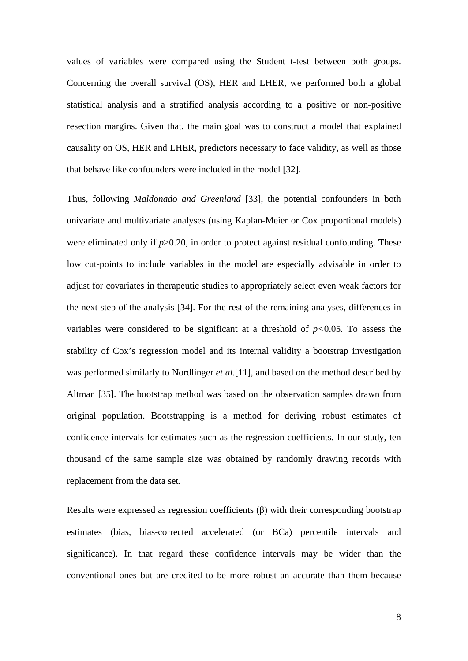values of variables were compared using the Student t-test between both groups. Concerning the overall survival (OS), HER and LHER, we performed both a global statistical analysis and a stratified analysis according to a positive or non-positive resection margins. Given that, the main goal was to construct a model that explained causality on OS, HER and LHER, predictors necessary to face validity, as well as those that behave like confounders were included in the model [32].

Thus, following *Maldonado and Greenland* [33], the potential confounders in both univariate and multivariate analyses (using Kaplan-Meier or Cox proportional models) were eliminated only if  $p > 0.20$ , in order to protect against residual confounding. These low cut-points to include variables in the model are especially advisable in order to adjust for covariates in therapeutic studies to appropriately select even weak factors for the next step of the analysis [34]. For the rest of the remaining analyses, differences in variables were considered to be significant at a threshold of  $p<0.05$ . To assess the stability of Cox's regression model and its internal validity a bootstrap investigation was performed similarly to Nordlinger *et al.*[11], and based on the method described by Altman [35]. The bootstrap method was based on the observation samples drawn from original population. Bootstrapping is a method for deriving robust estimates of confidence intervals for estimates such as the regression coefficients. In our study, ten thousand of the same sample size was obtained by randomly drawing records with replacement from the data set.

Results were expressed as regression coefficients (β) with their corresponding bootstrap estimates (bias, bias-corrected accelerated (or BCa) percentile intervals and significance). In that regard these confidence intervals may be wider than the conventional ones but are credited to be more robust an accurate than them because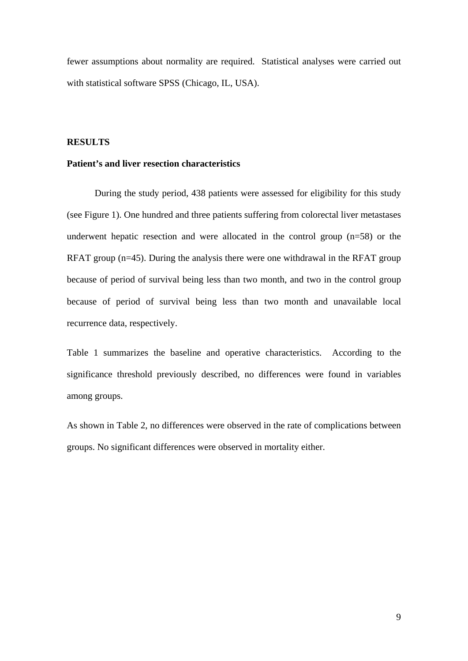fewer assumptions about normality are required. Statistical analyses were carried out with statistical software SPSS (Chicago, IL, USA).

### **RESULTS**

#### **Patient's and liver resection characteristics**

During the study period, 438 patients were assessed for eligibility for this study (see Figure 1). One hundred and three patients suffering from colorectal liver metastases underwent hepatic resection and were allocated in the control group (n=58) or the RFAT group (n=45). During the analysis there were one withdrawal in the RFAT group because of period of survival being less than two month, and two in the control group because of period of survival being less than two month and unavailable local recurrence data, respectively.

Table 1 summarizes the baseline and operative characteristics. According to the significance threshold previously described, no differences were found in variables among groups.

As shown in Table 2, no differences were observed in the rate of complications between groups. No significant differences were observed in mortality either.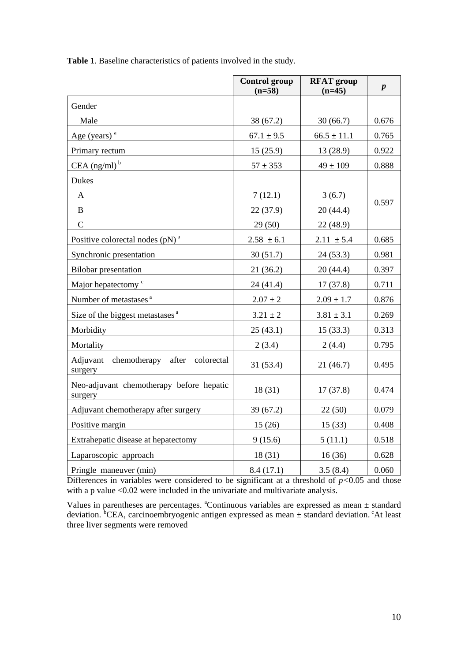|                                                     | <b>Control group</b><br>$(n=58)$ | <b>RFAT</b> group<br>$(n=45)$ | $\boldsymbol{p}$ |
|-----------------------------------------------------|----------------------------------|-------------------------------|------------------|
| Gender                                              |                                  |                               |                  |
| Male                                                | 38 (67.2)                        | 30(66.7)                      | 0.676            |
| Age (years) $a$                                     | $67.1 \pm 9.5$                   | $66.5 \pm 11.1$               | 0.765            |
| Primary rectum                                      | 15(25.9)                         | 13 (28.9)                     | 0.922            |
| CEA $(ng/ml)^b$                                     | $57 \pm 353$                     | $49 \pm 109$                  | 0.888            |
| Dukes                                               |                                  |                               |                  |
| $\mathbf{A}$                                        | 7(12.1)                          | 3(6.7)                        |                  |
| $\bf{B}$                                            | 22 (37.9)                        | 20(44.4)                      | 0.597            |
| $\mathsf{C}$                                        | 29(50)                           | 22 (48.9)                     |                  |
| Positive colorectal nodes $(pN)^a$                  | $2.58 \pm 6.1$                   | $2.11 \pm 5.4$                | 0.685            |
| Synchronic presentation                             | 30(51.7)                         | 24(53.3)                      | 0.981            |
| <b>Bilobar</b> presentation                         | 21(36.2)                         | 20(44.4)                      | 0.397            |
| Major hepatectomy <sup>c</sup>                      | 24(41.4)                         | 17(37.8)                      | 0.711            |
| Number of metastases <sup>a</sup>                   | $2.07 \pm 2$                     | $2.09 \pm 1.7$                | 0.876            |
| Size of the biggest metastases <sup>a</sup>         | $3.21 \pm 2$                     | $3.81 \pm 3.1$                | 0.269            |
| Morbidity                                           | 25(43.1)                         | 15(33.3)                      | 0.313            |
| Mortality                                           | 2(3.4)                           | 2(4.4)                        | 0.795            |
| Adjuvant chemotherapy after colorectal<br>surgery   | 31(53.4)                         | 21(46.7)                      | 0.495            |
| Neo-adjuvant chemotherapy before hepatic<br>surgery | 18(31)                           | 17(37.8)                      | 0.474            |
| Adjuvant chemotherapy after surgery                 | 39(67.2)                         | 22(50)                        | 0.079            |
| Positive margin                                     | 15(26)                           | 15(33)                        | 0.408            |
| Extrahepatic disease at hepatectomy                 | 9(15.6)                          | 5(11.1)                       | 0.518            |
| Laparoscopic approach                               | 18(31)                           | 16(36)                        | 0.628            |
| Pringle maneuver (min)                              | 8.4(17.1)                        | 3.5(8.4)                      | 0.060            |

**Table 1**. Baseline characteristics of patients involved in the study.

Differences in variables were considered to be significant at a threshold of  $p<0.05$  and those with a p value <0.02 were included in the univariate and multivariate analysis.

Values in parentheses are percentages.  $^{\text{a}}$ Continuous variables are expressed as mean  $\pm$  standard deviation. <sup>b</sup>CEA, carcinoembryogenic antigen expressed as mean  $\pm$  standard deviation. <sup>c</sup>At least three liver segments were removed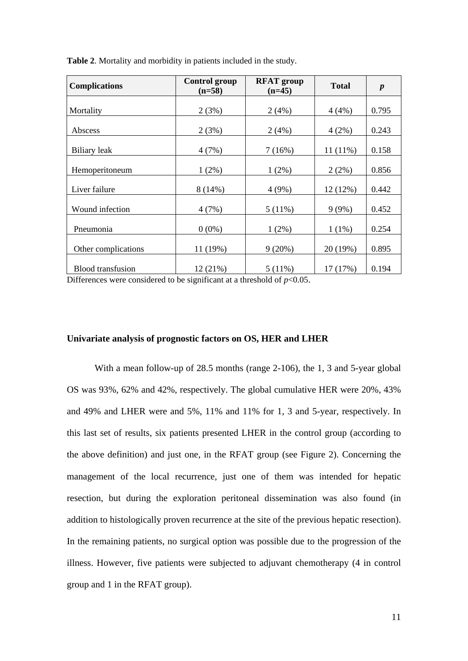| <b>Complications</b>     | <b>Control group</b><br>$(n=58)$ | <b>RFAT</b> group<br>$(n=45)$ | <b>Total</b> | $\boldsymbol{p}$ |  |
|--------------------------|----------------------------------|-------------------------------|--------------|------------------|--|
|                          |                                  |                               |              |                  |  |
| Mortality                | 2(3%)                            | 2(4%)                         | 4(4%)        | 0.795            |  |
| Abscess                  | 2(3%)                            | 2(4%)                         | 4(2%)        | 0.243            |  |
| <b>Biliary</b> leak      | 4(7%)                            | 7(16%)                        | $11(11\%)$   | 0.158            |  |
| Hemoperitoneum           | $1(2\%)$                         | $1(2\%)$                      | 2(2%)        | 0.856            |  |
| Liver failure            | $8(14\%)$                        | 4(9%)                         | 12 (12%)     | 0.442            |  |
| Wound infection          | 4(7%)                            | 5(11%)                        | 9(9%)        | 0.452            |  |
| Pneumonia                | $0(0\%)$                         | $1(2\%)$                      | $1(1\%)$     | 0.254            |  |
| Other complications      | 11 (19%)                         | 9(20%)                        | 20 (19%)     | 0.895            |  |
| <b>Blood</b> transfusion | 12 (21%)                         | 5(11%)                        | 17 (17%)     | 0.194            |  |

**Table 2**. Mortality and morbidity in patients included in the study.

Differences were considered to be significant at a threshold of  $p<0.05$ .

#### **Univariate analysis of prognostic factors on OS, HER and LHER**

With a mean follow-up of 28.5 months (range 2-106), the 1, 3 and 5-year global OS was 93%, 62% and 42%, respectively. The global cumulative HER were 20%, 43% and 49% and LHER were and 5%, 11% and 11% for 1, 3 and 5-year, respectively. In this last set of results, six patients presented LHER in the control group (according to the above definition) and just one, in the RFAT group (see Figure 2). Concerning the management of the local recurrence, just one of them was intended for hepatic resection, but during the exploration peritoneal dissemination was also found (in addition to histologically proven recurrence at the site of the previous hepatic resection). In the remaining patients, no surgical option was possible due to the progression of the illness. However, five patients were subjected to adjuvant chemotherapy (4 in control group and 1 in the RFAT group).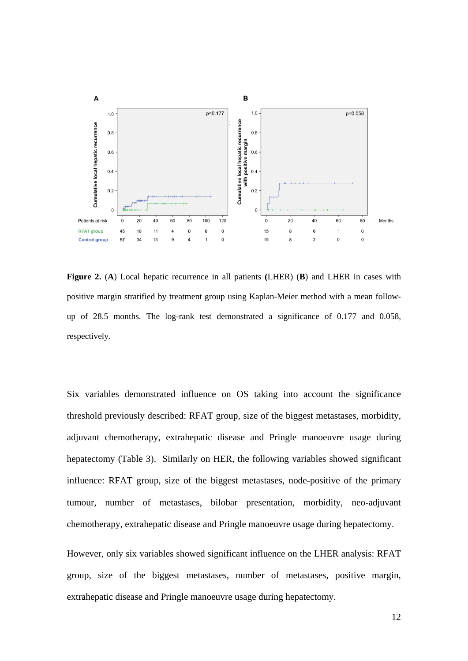

**Figure 2.** (**A**) Local hepatic recurrence in all patients **(**LHER) (**B**) and LHER in cases with positive margin stratified by treatment group using Kaplan-Meier method with a mean followup of 28.5 months. The log-rank test demonstrated a significance of 0.177 and 0.058, respectively.

Six variables demonstrated influence on OS taking into account the significance threshold previously described: RFAT group, size of the biggest metastases, morbidity, adjuvant chemotherapy, extrahepatic disease and Pringle manoeuvre usage during hepatectomy (Table 3). Similarly on HER, the following variables showed significant influence: RFAT group, size of the biggest metastases, node-positive of the primary tumour, number of metastases, bilobar presentation, morbidity, neo-adjuvant chemotherapy, extrahepatic disease and Pringle manoeuvre usage during hepatectomy.

However, only six variables showed significant influence on the LHER analysis: RFAT group, size of the biggest metastases, number of metastases, positive margin, extrahepatic disease and Pringle manoeuvre usage during hepatectomy.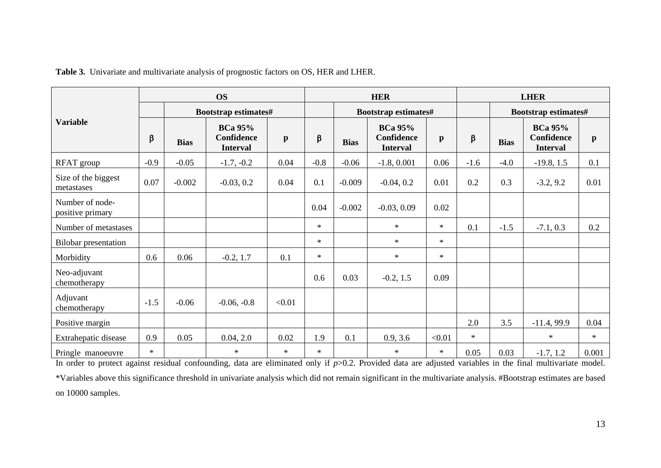|                                     | <b>OS</b> |                      |                                                        |              | <b>HER</b> |                      |                                                        | <b>LHER</b>  |         |                      |                                                        |              |
|-------------------------------------|-----------|----------------------|--------------------------------------------------------|--------------|------------|----------------------|--------------------------------------------------------|--------------|---------|----------------------|--------------------------------------------------------|--------------|
| <b>Variable</b>                     |           | Bootstrap estimates# |                                                        |              |            | Bootstrap estimates# |                                                        |              |         | Bootstrap estimates# |                                                        |              |
|                                     | β         | <b>Bias</b>          | <b>BCa 95%</b><br><b>Confidence</b><br><b>Interval</b> | $\mathbf{p}$ | $\beta$    | <b>Bias</b>          | <b>BCa 95%</b><br><b>Confidence</b><br><b>Interval</b> | $\mathbf{p}$ | $\beta$ | <b>Bias</b>          | <b>BCa 95%</b><br><b>Confidence</b><br><b>Interval</b> | $\mathbf{p}$ |
| RFAT group                          | $-0.9$    | $-0.05$              | $-1.7, -0.2$                                           | 0.04         | $-0.8$     | $-0.06$              | $-1.8, 0.001$                                          | 0.06         | $-1.6$  | $-4.0$               | $-19.8, 1.5$                                           | 0.1          |
| Size of the biggest<br>metastases   | 0.07      | $-0.002$             | $-0.03, 0.2$                                           | 0.04         | 0.1        | $-0.009$             | $-0.04, 0.2$                                           | 0.01         | 0.2     | 0.3                  | $-3.2, 9.2$                                            | 0.01         |
| Number of node-<br>positive primary |           |                      |                                                        |              | 0.04       | $-0.002$             | $-0.03, 0.09$                                          | 0.02         |         |                      |                                                        |              |
| Number of metastases                |           |                      |                                                        |              | $\ast$     |                      | $\ast$                                                 | $\ast$       | 0.1     | $-1.5$               | $-7.1, 0.3$                                            | 0.2          |
| <b>Bilobar</b> presentation         |           |                      |                                                        |              | $\ast$     |                      | $\ast$                                                 | $\star$      |         |                      |                                                        |              |
| Morbidity                           | 0.6       | 0.06                 | $-0.2, 1.7$                                            | 0.1          | $\ast$     |                      | $\ast$                                                 | $\ast$       |         |                      |                                                        |              |
| Neo-adjuvant<br>chemotherapy        |           |                      |                                                        |              | 0.6        | 0.03                 | $-0.2, 1.5$                                            | 0.09         |         |                      |                                                        |              |
| Adjuvant<br>chemotherapy            | $-1.5$    | $-0.06$              | $-0.06, -0.8$                                          | < 0.01       |            |                      |                                                        |              |         |                      |                                                        |              |
| Positive margin                     |           |                      |                                                        |              |            |                      |                                                        |              | 2.0     | 3.5                  | $-11.4, 99.9$                                          | 0.04         |
| Extrahepatic disease                | 0.9       | 0.05                 | 0.04, 2.0                                              | 0.02         | 1.9        | 0.1                  | 0.9, 3.6                                               | < 0.01       | $\ast$  |                      | $\ast$                                                 | $\ast$       |
| Pringle manoeuvre                   | $\ast$    |                      | $\ast$                                                 | $\ast$       | $\ast$     |                      | $\ast$                                                 | $\ast$       | 0.05    | 0.03                 | $-1.7, 1.2$                                            | 0.001        |

**Table 3.** Univariate and multivariate analysis of prognostic factors on OS, HER and LHER.

In order to protect against residual confounding, data are eliminated only if *p*>0.2. Provided data are adjusted variables in the final multivariate model. \*Variables above this significance threshold in univariate analysis which did not remain significant in the multivariate analysis. #Bootstrap estimates are based on 10000 samples.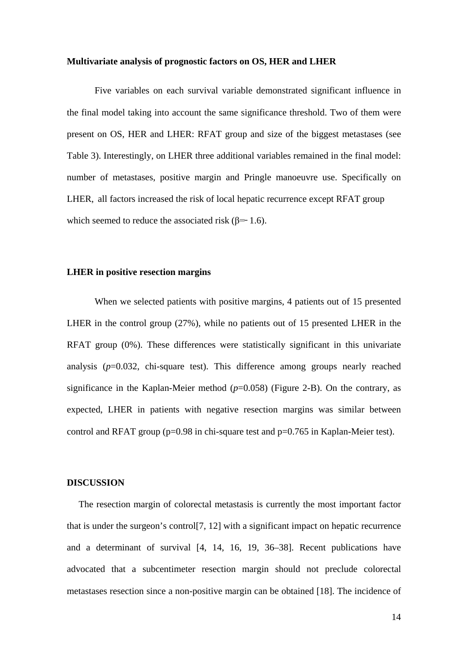#### **Multivariate analysis of prognostic factors on OS, HER and LHER**

Five variables on each survival variable demonstrated significant influence in the final model taking into account the same significance threshold. Two of them were present on OS, HER and LHER: RFAT group and size of the biggest metastases (see Table 3). Interestingly, on LHER three additional variables remained in the final model: number of metastases, positive margin and Pringle manoeuvre use. Specifically on LHER, all factors increased the risk of local hepatic recurrence except RFAT group which seemed to reduce the associated risk  $(\beta = 1.6)$ .

## **LHER in positive resection margins**

When we selected patients with positive margins, 4 patients out of 15 presented LHER in the control group (27%), while no patients out of 15 presented LHER in the RFAT group (0%). These differences were statistically significant in this univariate analysis  $(p=0.032, \text{ chi-square test})$ . This difference among groups nearly reached significance in the Kaplan-Meier method  $(p=0.058)$  (Figure 2-B). On the contrary, as expected, LHER in patients with negative resection margins was similar between control and RFAT group ( $p=0.98$  in chi-square test and  $p=0.765$  in Kaplan-Meier test).

#### **DISCUSSION**

 The resection margin of colorectal metastasis is currently the most important factor that is under the surgeon's control[7, 12] with a significant impact on hepatic recurrence and a determinant of survival [4, 14, 16, 19, 36–38]. Recent publications have advocated that a subcentimeter resection margin should not preclude colorectal metastases resection since a non-positive margin can be obtained [18]. The incidence of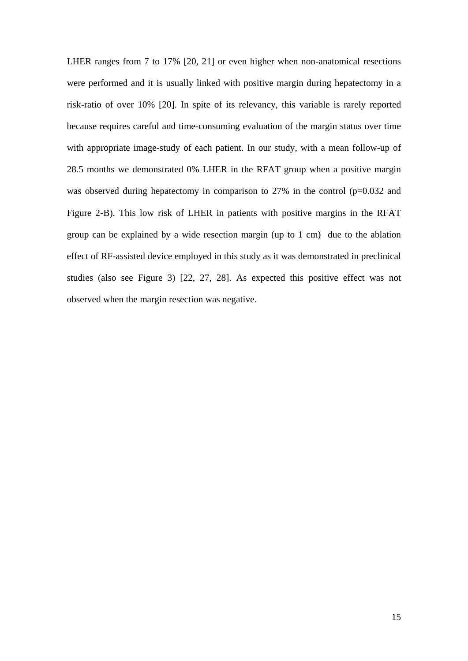LHER ranges from 7 to 17% [20, 21] or even higher when non-anatomical resections were performed and it is usually linked with positive margin during hepatectomy in a risk-ratio of over 10% [20]. In spite of its relevancy, this variable is rarely reported because requires careful and time-consuming evaluation of the margin status over time with appropriate image-study of each patient. In our study, with a mean follow-up of 28.5 months we demonstrated 0% LHER in the RFAT group when a positive margin was observed during hepatectomy in comparison to 27% in the control (p=0.032 and Figure 2-B). This low risk of LHER in patients with positive margins in the RFAT group can be explained by a wide resection margin (up to 1 cm) due to the ablation effect of RF-assisted device employed in this study as it was demonstrated in preclinical studies (also see Figure 3) [22, 27, 28]. As expected this positive effect was not observed when the margin resection was negative.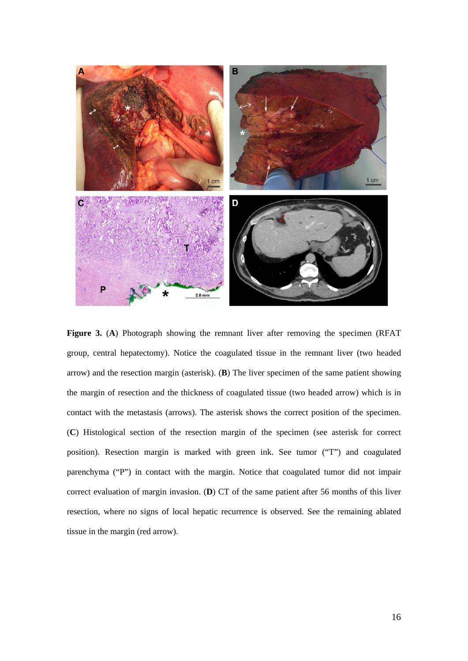

**Figure 3.** (**A**) Photograph showing the remnant liver after removing the specimen (RFAT group, central hepatectomy). Notice the coagulated tissue in the remnant liver (two headed arrow) and the resection margin (asterisk). (**B**) The liver specimen of the same patient showing the margin of resection and the thickness of coagulated tissue (two headed arrow) which is in contact with the metastasis (arrows). The asterisk shows the correct position of the specimen. (**C**) Histological section of the resection margin of the specimen (see asterisk for correct position). Resection margin is marked with green ink. See tumor ("T") and coagulated parenchyma ("P") in contact with the margin. Notice that coagulated tumor did not impair correct evaluation of margin invasion. (**D**) CT of the same patient after 56 months of this liver resection, where no signs of local hepatic recurrence is observed. See the remaining ablated tissue in the margin (red arrow).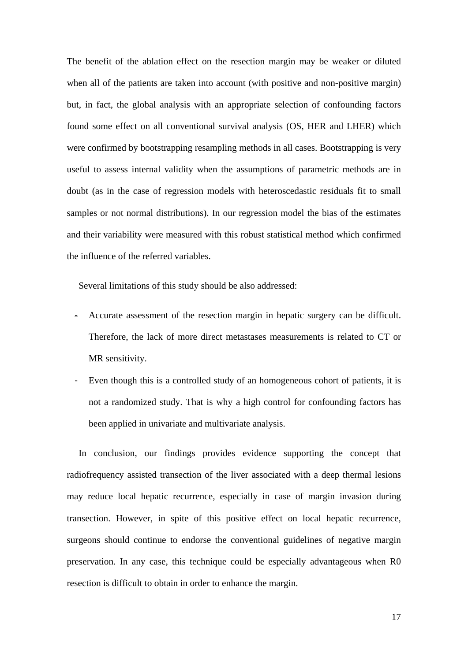The benefit of the ablation effect on the resection margin may be weaker or diluted when all of the patients are taken into account (with positive and non-positive margin) but, in fact, the global analysis with an appropriate selection of confounding factors found some effect on all conventional survival analysis (OS, HER and LHER) which were confirmed by bootstrapping resampling methods in all cases. Bootstrapping is very useful to assess internal validity when the assumptions of parametric methods are in doubt (as in the case of regression models with heteroscedastic residuals fit to small samples or not normal distributions). In our regression model the bias of the estimates and their variability were measured with this robust statistical method which confirmed the influence of the referred variables.

Several limitations of this study should be also addressed:

- Accurate assessment of the resection margin in hepatic surgery can be difficult. Therefore, the lack of more direct metastases measurements is related to CT or MR sensitivity.
- Even though this is a controlled study of an homogeneous cohort of patients, it is not a randomized study. That is why a high control for confounding factors has been applied in univariate and multivariate analysis.

 In conclusion, our findings provides evidence supporting the concept that radiofrequency assisted transection of the liver associated with a deep thermal lesions may reduce local hepatic recurrence, especially in case of margin invasion during transection. However, in spite of this positive effect on local hepatic recurrence, surgeons should continue to endorse the conventional guidelines of negative margin preservation. In any case, this technique could be especially advantageous when R0 resection is difficult to obtain in order to enhance the margin.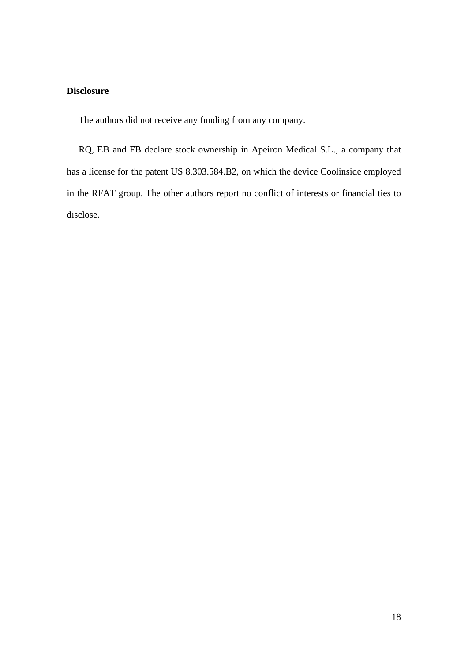# **Disclosure**

The authors did not receive any funding from any company.

 RQ, EB and FB declare stock ownership in Apeiron Medical S.L., a company that has a license for the patent US 8.303.584.B2, on which the device Coolinside employed in the RFAT group. The other authors report no conflict of interests or financial ties to disclose.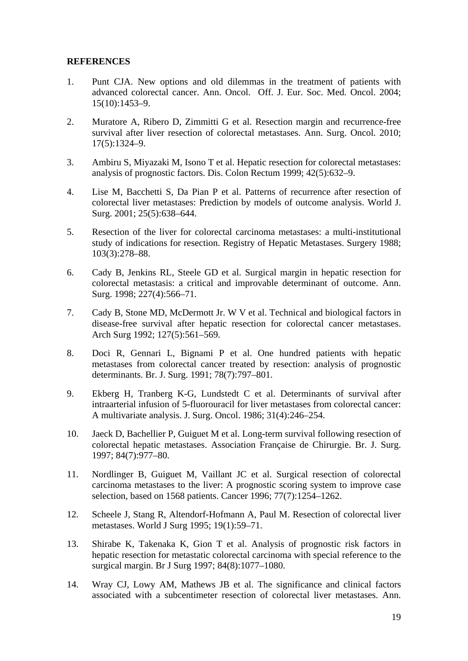### **REFERENCES**

- 1. Punt CJA. New options and old dilemmas in the treatment of patients with advanced colorectal cancer. Ann. Oncol. Off. J. Eur. Soc. Med. Oncol. 2004; 15(10):1453–9.
- 2. Muratore A, Ribero D, Zimmitti G et al. Resection margin and recurrence-free survival after liver resection of colorectal metastases. Ann. Surg. Oncol. 2010; 17(5):1324–9.
- 3. Ambiru S, Miyazaki M, Isono T et al. Hepatic resection for colorectal metastases: analysis of prognostic factors. Dis. Colon Rectum 1999; 42(5):632–9.
- 4. Lise M, Bacchetti S, Da Pian P et al. Patterns of recurrence after resection of colorectal liver metastases: Prediction by models of outcome analysis. World J. Surg. 2001; 25(5):638–644.
- 5. Resection of the liver for colorectal carcinoma metastases: a multi-institutional study of indications for resection. Registry of Hepatic Metastases. Surgery 1988; 103(3):278–88.
- 6. Cady B, Jenkins RL, Steele GD et al. Surgical margin in hepatic resection for colorectal metastasis: a critical and improvable determinant of outcome. Ann. Surg. 1998; 227(4):566-71.
- 7. Cady B, Stone MD, McDermott Jr. W V et al. Technical and biological factors in disease-free survival after hepatic resection for colorectal cancer metastases. Arch Surg 1992; 127(5):561–569.
- 8. Doci R, Gennari L, Bignami P et al. One hundred patients with hepatic metastases from colorectal cancer treated by resection: analysis of prognostic determinants. Br. J. Surg. 1991; 78(7):797–801.
- 9. Ekberg H, Tranberg K-G, Lundstedt C et al. Determinants of survival after intraarterial infusion of 5-fluorouracil for liver metastases from colorectal cancer: A multivariate analysis. J. Surg. Oncol. 1986; 31(4):246–254.
- 10. Jaeck D, Bachellier P, Guiguet M et al. Long-term survival following resection of colorectal hepatic metastases. Association Française de Chirurgie. Br. J. Surg. 1997; 84(7):977–80.
- 11. Nordlinger B, Guiguet M, Vaillant JC et al. Surgical resection of colorectal carcinoma metastases to the liver: A prognostic scoring system to improve case selection, based on 1568 patients. Cancer 1996; 77(7):1254–1262.
- 12. Scheele J, Stang R, Altendorf-Hofmann A, Paul M. Resection of colorectal liver metastases. World J Surg 1995; 19(1):59–71.
- 13. Shirabe K, Takenaka K, Gion T et al. Analysis of prognostic risk factors in hepatic resection for metastatic colorectal carcinoma with special reference to the surgical margin. Br J Surg 1997; 84(8):1077–1080.
- 14. Wray CJ, Lowy AM, Mathews JB et al. The significance and clinical factors associated with a subcentimeter resection of colorectal liver metastases. Ann.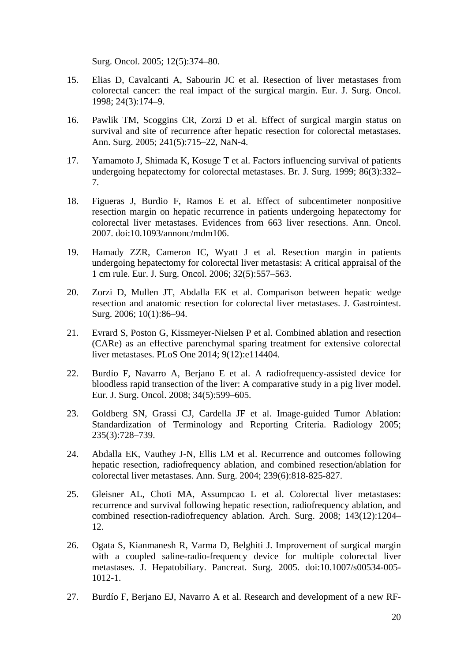Surg. Oncol. 2005; 12(5):374–80.

- 15. Elias D, Cavalcanti A, Sabourin JC et al. Resection of liver metastases from colorectal cancer: the real impact of the surgical margin. Eur. J. Surg. Oncol. 1998; 24(3):174–9.
- 16. Pawlik TM, Scoggins CR, Zorzi D et al. Effect of surgical margin status on survival and site of recurrence after hepatic resection for colorectal metastases. Ann. Surg. 2005; 241(5):715–22, NaN-4.
- 17. Yamamoto J, Shimada K, Kosuge T et al. Factors influencing survival of patients undergoing hepatectomy for colorectal metastases. Br. J. Surg. 1999; 86(3):332– 7.
- 18. Figueras J, Burdio F, Ramos E et al. Effect of subcentimeter nonpositive resection margin on hepatic recurrence in patients undergoing hepatectomy for colorectal liver metastases. Evidences from 663 liver resections. Ann. Oncol. 2007. doi:10.1093/annonc/mdm106.
- 19. Hamady ZZR, Cameron IC, Wyatt J et al. Resection margin in patients undergoing hepatectomy for colorectal liver metastasis: A critical appraisal of the 1 cm rule. Eur. J. Surg. Oncol. 2006; 32(5):557–563.
- 20. Zorzi D, Mullen JT, Abdalla EK et al. Comparison between hepatic wedge resection and anatomic resection for colorectal liver metastases. J. Gastrointest. Surg. 2006; 10(1):86–94.
- 21. Evrard S, Poston G, Kissmeyer-Nielsen P et al. Combined ablation and resection (CARe) as an effective parenchymal sparing treatment for extensive colorectal liver metastases. PLoS One 2014; 9(12):e114404.
- 22. Burdío F, Navarro A, Berjano E et al. A radiofrequency-assisted device for bloodless rapid transection of the liver: A comparative study in a pig liver model. Eur. J. Surg. Oncol. 2008; 34(5):599–605.
- 23. Goldberg SN, Grassi CJ, Cardella JF et al. Image-guided Tumor Ablation: Standardization of Terminology and Reporting Criteria. Radiology 2005; 235(3):728–739.
- 24. Abdalla EK, Vauthey J-N, Ellis LM et al. Recurrence and outcomes following hepatic resection, radiofrequency ablation, and combined resection/ablation for colorectal liver metastases. Ann. Surg. 2004; 239(6):818-825-827.
- 25. Gleisner AL, Choti MA, Assumpcao L et al. Colorectal liver metastases: recurrence and survival following hepatic resection, radiofrequency ablation, and combined resection-radiofrequency ablation. Arch. Surg. 2008; 143(12):1204– 12.
- 26. Ogata S, Kianmanesh R, Varma D, Belghiti J. Improvement of surgical margin with a coupled saline-radio-frequency device for multiple colorectal liver metastases. J. Hepatobiliary. Pancreat. Surg. 2005. doi:10.1007/s00534-005- 1012-1.
- 27. Burdío F, Berjano EJ, Navarro A et al. Research and development of a new RF-